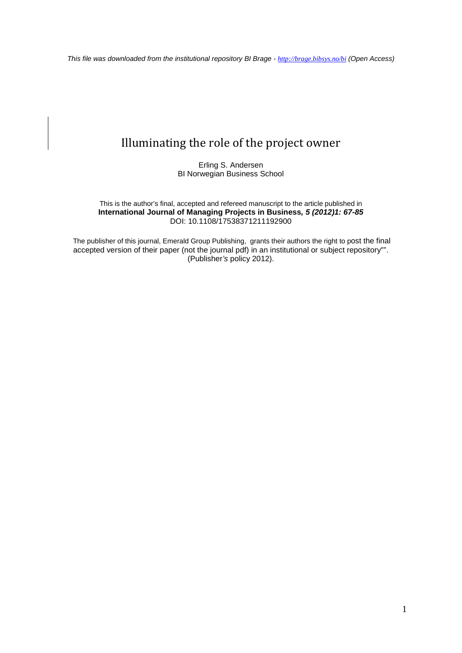*This file was downloaded from the institutional repository BI Brage - <http://brage.bibsys.no/bi> (Open Access)*

# Illuminating the role of the project owner

Erling S. Andersen BI Norwegian Business School

This is the author's final, accepted and refereed manuscript to the article published in **International Journal of Managing Projects in Business***, 5 (2012)1: 67-85* DOI: 10.1108/17538371211192900

The publisher of this journal, Emerald Group Publishing, grants their authors the right to post the final accepted version of their paper (not the journal pdf) in an institutional or subject repository"". (Publisher*'s* policy 2012).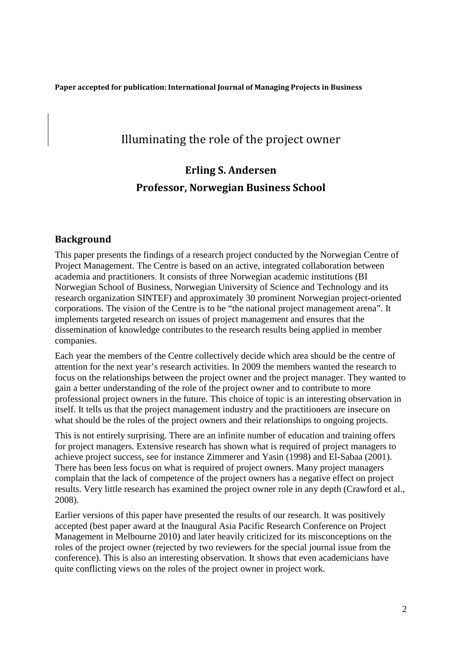**Paper accepted for publication: International Journal of Managing Projects in Business**

## Illuminating the role of the project owner

# **Erling S. Andersen Professor, Norwegian Business School**

#### **Background**

This paper presents the findings of a research project conducted by the Norwegian Centre of Project Management. The Centre is based on an active, integrated collaboration between academia and practitioners. It consists of three Norwegian academic institutions (BI Norwegian School of Business, Norwegian University of Science and Technology and its research organization SINTEF) and approximately 30 prominent Norwegian project-oriented corporations. The vision of the Centre is to be "the national project management arena". It implements targeted research on issues of project management and ensures that the dissemination of knowledge contributes to the research results being applied in member companies.

Each year the members of the Centre collectively decide which area should be the centre of attention for the next year's research activities. In 2009 the members wanted the research to focus on the relationships between the project owner and the project manager. They wanted to gain a better understanding of the role of the project owner and to contribute to more professional project owners in the future. This choice of topic is an interesting observation in itself. It tells us that the project management industry and the practitioners are insecure on what should be the roles of the project owners and their relationships to ongoing projects.

This is not entirely surprising. There are an infinite number of education and training offers for project managers. Extensive research has shown what is required of project managers to achieve project success, see for instance Zimmerer and Yasin (1998) and El-Sabaa (2001). There has been less focus on what is required of project owners. Many project managers complain that the lack of competence of the project owners has a negative effect on project results. Very little research has examined the project owner role in any depth (Crawford et al., 2008).

Earlier versions of this paper have presented the results of our research. It was positively accepted (best paper award at the Inaugural Asia Pacific Research Conference on Project Management in Melbourne 2010) and later heavily criticized for its misconceptions on the roles of the project owner (rejected by two reviewers for the special journal issue from the conference). This is also an interesting observation. It shows that even academicians have quite conflicting views on the roles of the project owner in project work.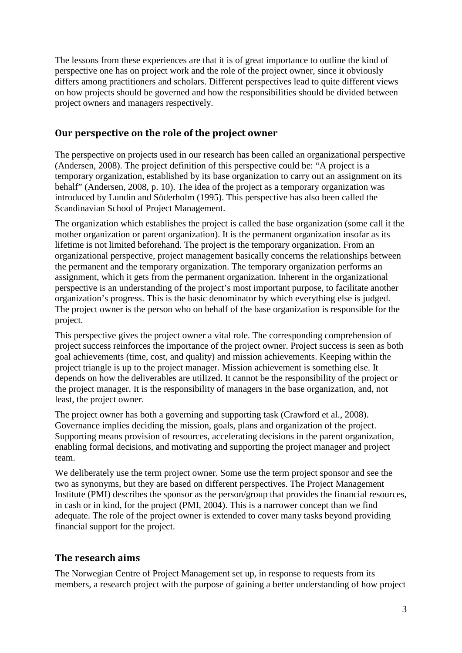The lessons from these experiences are that it is of great importance to outline the kind of perspective one has on project work and the role of the project owner, since it obviously differs among practitioners and scholars. Different perspectives lead to quite different views on how projects should be governed and how the responsibilities should be divided between project owners and managers respectively.

#### **Our perspective on the role of the project owner**

The perspective on projects used in our research has been called an organizational perspective (Andersen, 2008). The project definition of this perspective could be: "A project is a temporary organization, established by its base organization to carry out an assignment on its behalf" (Andersen, 2008, p. 10). The idea of the project as a temporary organization was introduced by Lundin and Söderholm (1995). This perspective has also been called the Scandinavian School of Project Management.

The organization which establishes the project is called the base organization (some call it the mother organization or parent organization). It is the permanent organization insofar as its lifetime is not limited beforehand. The project is the temporary organization. From an organizational perspective, project management basically concerns the relationships between the permanent and the temporary organization. The temporary organization performs an assignment, which it gets from the permanent organization. Inherent in the organizational perspective is an understanding of the project's most important purpose, to facilitate another organization's progress. This is the basic denominator by which everything else is judged. The project owner is the person who on behalf of the base organization is responsible for the project.

This perspective gives the project owner a vital role. The corresponding comprehension of project success reinforces the importance of the project owner. Project success is seen as both goal achievements (time, cost, and quality) and mission achievements. Keeping within the project triangle is up to the project manager. Mission achievement is something else. It depends on how the deliverables are utilized. It cannot be the responsibility of the project or the project manager. It is the responsibility of managers in the base organization, and, not least, the project owner.

The project owner has both a governing and supporting task (Crawford et al., 2008). Governance implies deciding the mission, goals, plans and organization of the project. Supporting means provision of resources, accelerating decisions in the parent organization, enabling formal decisions, and motivating and supporting the project manager and project team.

We deliberately use the term project owner. Some use the term project sponsor and see the two as synonyms, but they are based on different perspectives. The Project Management Institute (PMI) describes the sponsor as the person/group that provides the financial resources, in cash or in kind, for the project (PMI, 2004). This is a narrower concept than we find adequate. The role of the project owner is extended to cover many tasks beyond providing financial support for the project.

### **The research aims**

The Norwegian Centre of Project Management set up, in response to requests from its members, a research project with the purpose of gaining a better understanding of how project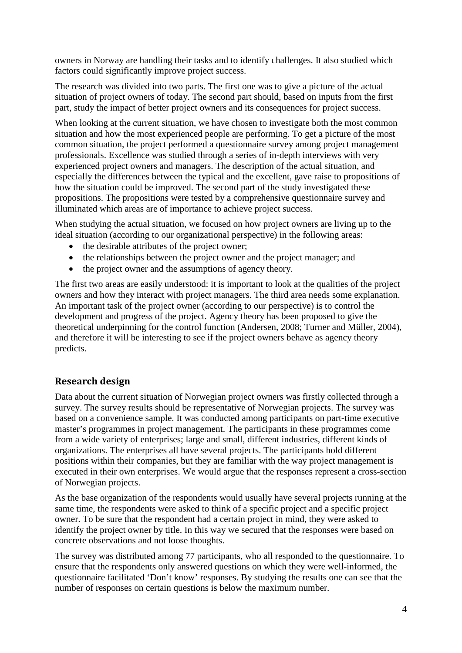owners in Norway are handling their tasks and to identify challenges. It also studied which factors could significantly improve project success.

The research was divided into two parts. The first one was to give a picture of the actual situation of project owners of today. The second part should, based on inputs from the first part, study the impact of better project owners and its consequences for project success.

When looking at the current situation, we have chosen to investigate both the most common situation and how the most experienced people are performing. To get a picture of the most common situation, the project performed a questionnaire survey among project management professionals. Excellence was studied through a series of in-depth interviews with very experienced project owners and managers. The description of the actual situation, and especially the differences between the typical and the excellent, gave raise to propositions of how the situation could be improved. The second part of the study investigated these propositions. The propositions were tested by a comprehensive questionnaire survey and illuminated which areas are of importance to achieve project success.

When studying the actual situation, we focused on how project owners are living up to the ideal situation (according to our organizational perspective) in the following areas:

- the desirable attributes of the project owner;
- the relationships between the project owner and the project manager; and
- the project owner and the assumptions of agency theory.

The first two areas are easily understood: it is important to look at the qualities of the project owners and how they interact with project managers. The third area needs some explanation. An important task of the project owner (according to our perspective) is to control the development and progress of the project. Agency theory has been proposed to give the theoretical underpinning for the control function (Andersen, 2008; Turner and Müller, 2004), and therefore it will be interesting to see if the project owners behave as agency theory predicts.

#### **Research design**

Data about the current situation of Norwegian project owners was firstly collected through a survey. The survey results should be representative of Norwegian projects. The survey was based on a convenience sample. It was conducted among participants on part-time executive master's programmes in project management. The participants in these programmes come from a wide variety of enterprises; large and small, different industries, different kinds of organizations. The enterprises all have several projects. The participants hold different positions within their companies, but they are familiar with the way project management is executed in their own enterprises. We would argue that the responses represent a cross-section of Norwegian projects.

As the base organization of the respondents would usually have several projects running at the same time, the respondents were asked to think of a specific project and a specific project owner. To be sure that the respondent had a certain project in mind, they were asked to identify the project owner by title. In this way we secured that the responses were based on concrete observations and not loose thoughts.

The survey was distributed among 77 participants, who all responded to the questionnaire. To ensure that the respondents only answered questions on which they were well-informed, the questionnaire facilitated 'Don't know' responses. By studying the results one can see that the number of responses on certain questions is below the maximum number.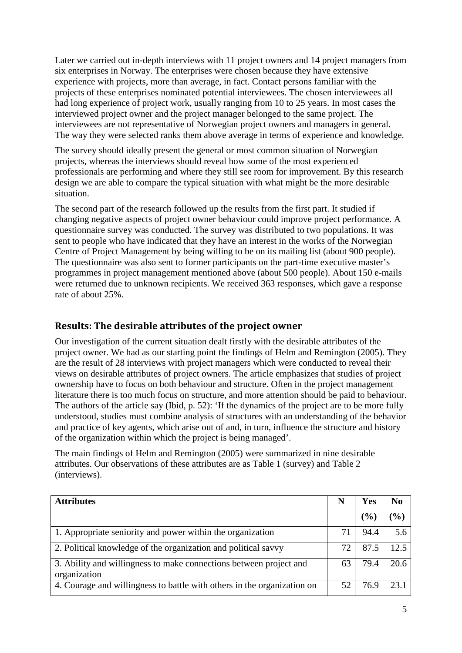Later we carried out in-depth interviews with 11 project owners and 14 project managers from six enterprises in Norway. The enterprises were chosen because they have extensive experience with projects, more than average, in fact. Contact persons familiar with the projects of these enterprises nominated potential interviewees. The chosen interviewees all had long experience of project work, usually ranging from 10 to 25 years. In most cases the interviewed project owner and the project manager belonged to the same project. The interviewees are not representative of Norwegian project owners and managers in general. The way they were selected ranks them above average in terms of experience and knowledge.

The survey should ideally present the general or most common situation of Norwegian projects, whereas the interviews should reveal how some of the most experienced professionals are performing and where they still see room for improvement. By this research design we are able to compare the typical situation with what might be the more desirable situation.

The second part of the research followed up the results from the first part. It studied if changing negative aspects of project owner behaviour could improve project performance. A questionnaire survey was conducted. The survey was distributed to two populations. It was sent to people who have indicated that they have an interest in the works of the Norwegian Centre of Project Management by being willing to be on its mailing list (about 900 people). The questionnaire was also sent to former participants on the part-time executive master's programmes in project management mentioned above (about 500 people). About 150 e-mails were returned due to unknown recipients. We received 363 responses, which gave a response rate of about 25%.

#### **Results: The desirable attributes of the project owner**

Our investigation of the current situation dealt firstly with the desirable attributes of the project owner. We had as our starting point the findings of Helm and Remington (2005). They are the result of 28 interviews with project managers which were conducted to reveal their views on desirable attributes of project owners. The article emphasizes that studies of project ownership have to focus on both behaviour and structure. Often in the project management literature there is too much focus on structure, and more attention should be paid to behaviour. The authors of the article say (Ibid, p. 52): 'If the dynamics of the project are to be more fully understood, studies must combine analysis of structures with an understanding of the behavior and practice of key agents, which arise out of and, in turn, influence the structure and history of the organization within which the project is being managed'.

The main findings of Helm and Remington (2005) were summarized in nine desirable attributes. Our observations of these attributes are as Table 1 (survey) and Table 2 (interviews).

| <b>Attributes</b>                                                                  | N  | Yes       | N <sub>0</sub> |
|------------------------------------------------------------------------------------|----|-----------|----------------|
|                                                                                    |    | $($ % $)$ | $(\%)$         |
| 1. Appropriate seniority and power within the organization                         | 71 | 94.4      | 5.6            |
| 2. Political knowledge of the organization and political savvy                     | 72 | 87.5      | 12.5           |
| 3. Ability and willingness to make connections between project and<br>organization | 63 | 79.4      | 20.6           |
| 4. Courage and willingness to battle with others in the organization on            | 52 | 76.9      | 23.1           |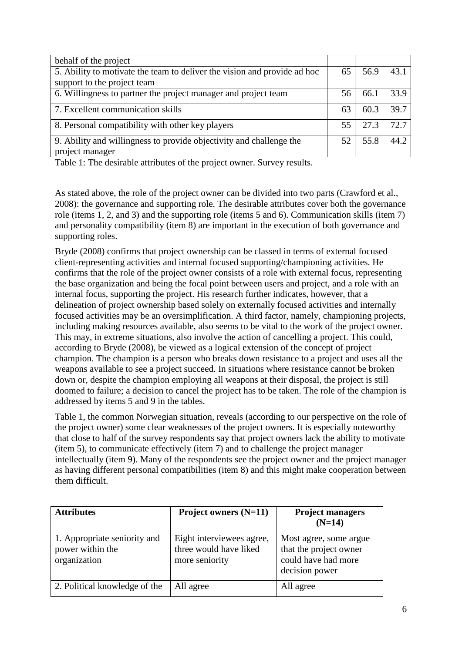| behalf of the project                                                    |    |      |      |
|--------------------------------------------------------------------------|----|------|------|
| 5. Ability to motivate the team to deliver the vision and provide ad hoc | 65 | 56.9 | 43.1 |
| support to the project team                                              |    |      |      |
| 6. Willingness to partner the project manager and project team           |    | 66.1 | 33.9 |
| 7. Excellent communication skills                                        | 63 | 60.3 | 39.7 |
| 8. Personal compatibility with other key players                         | 55 | 27.3 | 72.7 |
| 9. Ability and willingness to provide objectivity and challenge the      |    | 55.8 | 44.2 |
| project manager                                                          |    |      |      |

Table 1: The desirable attributes of the project owner. Survey results.

As stated above, the role of the project owner can be divided into two parts (Crawford et al., 2008): the governance and supporting role. The desirable attributes cover both the governance role (items 1, 2, and 3) and the supporting role (items 5 and 6). Communication skills (item 7) and personality compatibility (item 8) are important in the execution of both governance and supporting roles.

Bryde (2008) confirms that project ownership can be classed in terms of external focused client-representing activities and internal focused supporting/championing activities. He confirms that the role of the project owner consists of a role with external focus, representing the base organization and being the focal point between users and project, and a role with an internal focus, supporting the project. His research further indicates, however, that a delineation of project ownership based solely on externally focused activities and internally focused activities may be an oversimplification. A third factor, namely, championing projects, including making resources available, also seems to be vital to the work of the project owner. This may, in extreme situations, also involve the action of cancelling a project. This could, according to Bryde (2008), be viewed as a logical extension of the concept of project champion. The champion is a person who breaks down resistance to a project and uses all the weapons available to see a project succeed. In situations where resistance cannot be broken down or, despite the champion employing all weapons at their disposal, the project is still doomed to failure; a decision to cancel the project has to be taken. The role of the champion is addressed by items 5 and 9 in the tables.

Table 1, the common Norwegian situation, reveals (according to our perspective on the role of the project owner) some clear weaknesses of the project owners. It is especially noteworthy that close to half of the survey respondents say that project owners lack the ability to motivate (item 5), to communicate effectively (item 7) and to challenge the project manager intellectually (item 9). Many of the respondents see the project owner and the project manager as having different personal compatibilities (item 8) and this might make cooperation between them difficult.

| <b>Attributes</b>                                                | Project owners $(N=11)$                                               | <b>Project managers</b><br>$(N=14)$                                                       |
|------------------------------------------------------------------|-----------------------------------------------------------------------|-------------------------------------------------------------------------------------------|
| 1. Appropriate seniority and<br>power within the<br>organization | Eight interviewees agree,<br>three would have liked<br>more seniority | Most agree, some argue<br>that the project owner<br>could have had more<br>decision power |
| 2. Political knowledge of the                                    | All agree                                                             | All agree                                                                                 |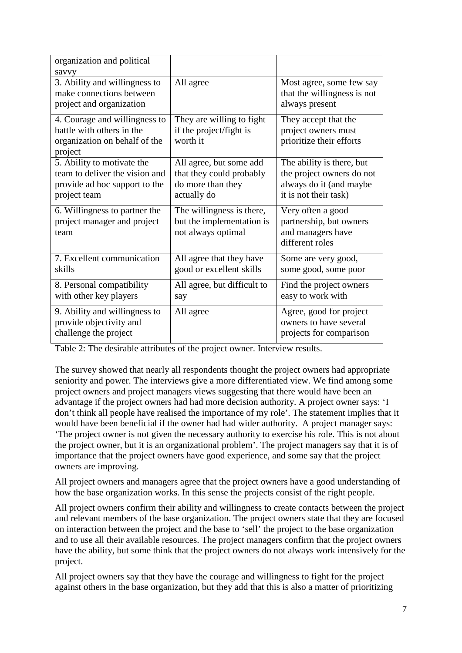| organization and political<br>savvy                                                                           |                                                                                         |                                                                                                            |
|---------------------------------------------------------------------------------------------------------------|-----------------------------------------------------------------------------------------|------------------------------------------------------------------------------------------------------------|
| 3. Ability and willingness to<br>make connections between<br>project and organization                         | All agree                                                                               | Most agree, some few say<br>that the willingness is not<br>always present                                  |
| 4. Courage and willingness to<br>battle with others in the<br>organization on behalf of the<br>project        | They are willing to fight<br>if the project/fight is<br>worth it                        | They accept that the<br>project owners must<br>prioritize their efforts                                    |
| 5. Ability to motivate the<br>team to deliver the vision and<br>provide ad hoc support to the<br>project team | All agree, but some add<br>that they could probably<br>do more than they<br>actually do | The ability is there, but<br>the project owners do not<br>always do it (and maybe<br>it is not their task) |
| 6. Willingness to partner the<br>project manager and project<br>team                                          | The willingness is there,<br>but the implementation is<br>not always optimal            | Very often a good<br>partnership, but owners<br>and managers have<br>different roles                       |
| 7. Excellent communication<br>skills                                                                          | All agree that they have<br>good or excellent skills                                    | Some are very good,<br>some good, some poor                                                                |
| 8. Personal compatibility<br>with other key players                                                           | All agree, but difficult to<br>say                                                      | Find the project owners<br>easy to work with                                                               |
| 9. Ability and willingness to<br>provide objectivity and<br>challenge the project                             | All agree                                                                               | Agree, good for project<br>owners to have several<br>projects for comparison                               |

Table 2: The desirable attributes of the project owner. Interview results.

The survey showed that nearly all respondents thought the project owners had appropriate seniority and power. The interviews give a more differentiated view. We find among some project owners and project managers views suggesting that there would have been an advantage if the project owners had had more decision authority. A project owner says: 'I don't think all people have realised the importance of my role'. The statement implies that it would have been beneficial if the owner had had wider authority. A project manager says: 'The project owner is not given the necessary authority to exercise his role. This is not about the project owner, but it is an organizational problem'. The project managers say that it is of importance that the project owners have good experience, and some say that the project owners are improving.

All project owners and managers agree that the project owners have a good understanding of how the base organization works. In this sense the projects consist of the right people.

All project owners confirm their ability and willingness to create contacts between the project and relevant members of the base organization. The project owners state that they are focused on interaction between the project and the base to 'sell' the project to the base organization and to use all their available resources. The project managers confirm that the project owners have the ability, but some think that the project owners do not always work intensively for the project.

All project owners say that they have the courage and willingness to fight for the project against others in the base organization, but they add that this is also a matter of prioritizing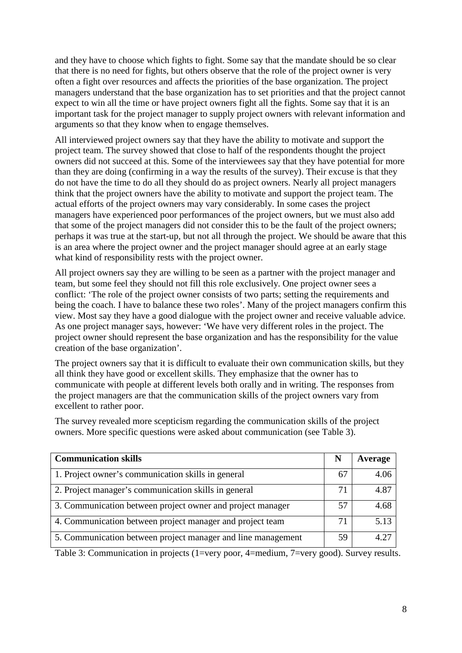and they have to choose which fights to fight. Some say that the mandate should be so clear that there is no need for fights, but others observe that the role of the project owner is very often a fight over resources and affects the priorities of the base organization. The project managers understand that the base organization has to set priorities and that the project cannot expect to win all the time or have project owners fight all the fights. Some say that it is an important task for the project manager to supply project owners with relevant information and arguments so that they know when to engage themselves.

All interviewed project owners say that they have the ability to motivate and support the project team. The survey showed that close to half of the respondents thought the project owners did not succeed at this. Some of the interviewees say that they have potential for more than they are doing (confirming in a way the results of the survey). Their excuse is that they do not have the time to do all they should do as project owners. Nearly all project managers think that the project owners have the ability to motivate and support the project team. The actual efforts of the project owners may vary considerably. In some cases the project managers have experienced poor performances of the project owners, but we must also add that some of the project managers did not consider this to be the fault of the project owners; perhaps it was true at the start-up, but not all through the project. We should be aware that this is an area where the project owner and the project manager should agree at an early stage what kind of responsibility rests with the project owner.

All project owners say they are willing to be seen as a partner with the project manager and team, but some feel they should not fill this role exclusively. One project owner sees a conflict: 'The role of the project owner consists of two parts; setting the requirements and being the coach. I have to balance these two roles'. Many of the project managers confirm this view. Most say they have a good dialogue with the project owner and receive valuable advice. As one project manager says, however: 'We have very different roles in the project. The project owner should represent the base organization and has the responsibility for the value creation of the base organization'.

The project owners say that it is difficult to evaluate their own communication skills, but they all think they have good or excellent skills. They emphasize that the owner has to communicate with people at different levels both orally and in writing. The responses from the project managers are that the communication skills of the project owners vary from excellent to rather poor.

The survey revealed more scepticism regarding the communication skills of the project owners. More specific questions were asked about communication (see Table 3).

| <b>Communication skills</b>                                  | N  | Average |
|--------------------------------------------------------------|----|---------|
| 1. Project owner's communication skills in general           | 67 |         |
| 2. Project manager's communication skills in general         | 71 | 4.87    |
| 3. Communication between project owner and project manager   | 57 | 4.68    |
| 4. Communication between project manager and project team    | 71 | 5.13    |
| 5. Communication between project manager and line management | 59 | 4.27    |

Table 3: Communication in projects (1=very poor, 4=medium, 7=very good). Survey results.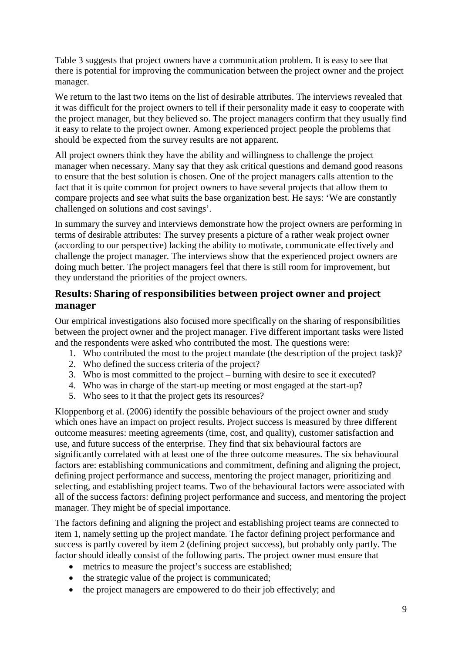Table 3 suggests that project owners have a communication problem. It is easy to see that there is potential for improving the communication between the project owner and the project manager.

We return to the last two items on the list of desirable attributes. The interviews revealed that it was difficult for the project owners to tell if their personality made it easy to cooperate with the project manager, but they believed so. The project managers confirm that they usually find it easy to relate to the project owner. Among experienced project people the problems that should be expected from the survey results are not apparent.

All project owners think they have the ability and willingness to challenge the project manager when necessary. Many say that they ask critical questions and demand good reasons to ensure that the best solution is chosen. One of the project managers calls attention to the fact that it is quite common for project owners to have several projects that allow them to compare projects and see what suits the base organization best. He says: 'We are constantly challenged on solutions and cost savings'.

In summary the survey and interviews demonstrate how the project owners are performing in terms of desirable attributes: The survey presents a picture of a rather weak project owner (according to our perspective) lacking the ability to motivate, communicate effectively and challenge the project manager. The interviews show that the experienced project owners are doing much better. The project managers feel that there is still room for improvement, but they understand the priorities of the project owners.

#### **Results: Sharing of responsibilities between project owner and project manager**

Our empirical investigations also focused more specifically on the sharing of responsibilities between the project owner and the project manager. Five different important tasks were listed and the respondents were asked who contributed the most. The questions were:

- 1. Who contributed the most to the project mandate (the description of the project task)?
- 2. Who defined the success criteria of the project?
- 3. Who is most committed to the project burning with desire to see it executed?
- 4. Who was in charge of the start-up meeting or most engaged at the start-up?
- 5. Who sees to it that the project gets its resources?

Kloppenborg et al. (2006) identify the possible behaviours of the project owner and study which ones have an impact on project results. Project success is measured by three different outcome measures: meeting agreements (time, cost, and quality), customer satisfaction and use, and future success of the enterprise. They find that six behavioural factors are significantly correlated with at least one of the three outcome measures. The six behavioural factors are: establishing communications and commitment, defining and aligning the project, defining project performance and success, mentoring the project manager, prioritizing and selecting, and establishing project teams. Two of the behavioural factors were associated with all of the success factors: defining project performance and success, and mentoring the project manager. They might be of special importance.

The factors defining and aligning the project and establishing project teams are connected to item 1, namely setting up the project mandate. The factor defining project performance and success is partly covered by item 2 (defining project success), but probably only partly. The factor should ideally consist of the following parts. The project owner must ensure that

- metrics to measure the project's success are established;
- the strategic value of the project is communicated;
- the project managers are empowered to do their job effectively; and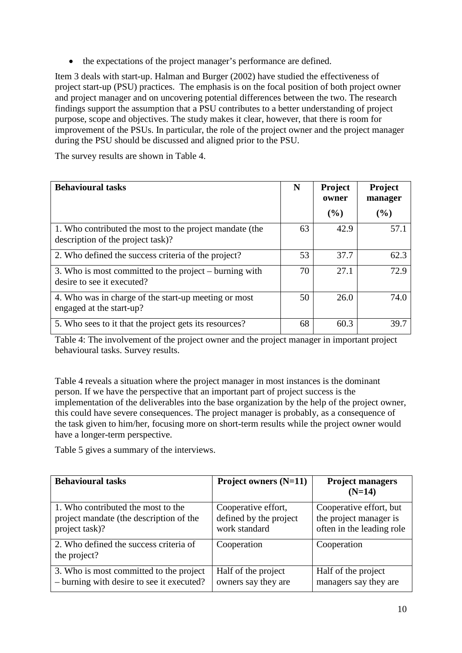• the expectations of the project manager's performance are defined.

Item 3 deals with start-up. Halman and Burger (2002) have studied the effectiveness of project start-up (PSU) practices. The emphasis is on the focal position of both project owner and project manager and on uncovering potential differences between the two. The research findings support the assumption that a PSU contributes to a better understanding of project purpose, scope and objectives. The study makes it clear, however, that there is room for improvement of the PSUs. In particular, the role of the project owner and the project manager during the PSU should be discussed and aligned prior to the PSU.

The survey results are shown in Table 4.

| <b>Behavioural tasks</b>                                                                     | N  | <b>Project</b><br>owner | <b>Project</b><br>manager |
|----------------------------------------------------------------------------------------------|----|-------------------------|---------------------------|
|                                                                                              |    | (%)                     | (%)                       |
| 1. Who contributed the most to the project mandate (the<br>description of the project task)? | 63 | 42.9                    | 57.1                      |
| 2. Who defined the success criteria of the project?                                          | 53 | 37.7                    | 62.3                      |
| 3. Who is most committed to the project – burning with<br>desire to see it executed?         | 70 | 27.1                    | 72.9                      |
| 4. Who was in charge of the start-up meeting or most<br>engaged at the start-up?             | 50 | 26.0                    | 74.0                      |
| 5. Who sees to it that the project gets its resources?                                       | 68 | 60.3                    | 39.7                      |

Table 4: The involvement of the project owner and the project manager in important project behavioural tasks. Survey results.

Table 4 reveals a situation where the project manager in most instances is the dominant person. If we have the perspective that an important part of project success is the implementation of the deliverables into the base organization by the help of the project owner, this could have severe consequences. The project manager is probably, as a consequence of the task given to him/her, focusing more on short-term results while the project owner would have a longer-term perspective.

Table 5 gives a summary of the interviews.

| <b>Behavioural tasks</b>                               | Project owners $(N=11)$ | <b>Project managers</b><br>$(N=14)$ |
|--------------------------------------------------------|-------------------------|-------------------------------------|
| 1. Who contributed the most to the                     | Cooperative effort,     | Cooperative effort, but             |
| project mandate (the description of the                | defined by the project  | the project manager is              |
| project task)?                                         | work standard           | often in the leading role           |
| 2. Who defined the success criteria of<br>the project? | Cooperation             | Cooperation                         |
| 3. Who is most committed to the project                | Half of the project     | Half of the project                 |
| - burning with desire to see it executed?              | owners say they are     | managers say they are               |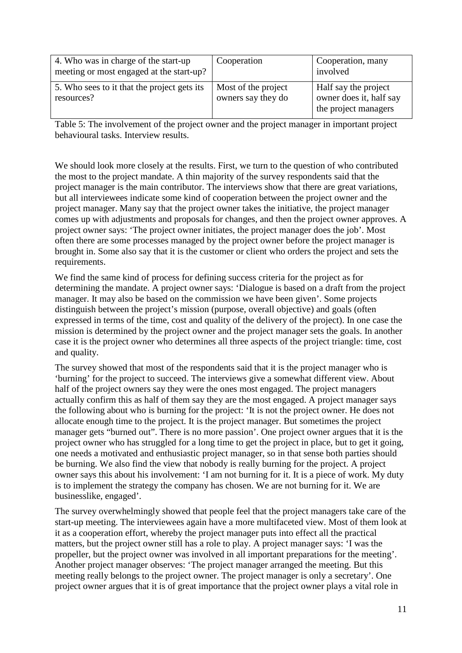| 4. Who was in charge of the start-up<br>meeting or most engaged at the start-up? | Cooperation                               | Cooperation, many<br>involved                                                  |
|----------------------------------------------------------------------------------|-------------------------------------------|--------------------------------------------------------------------------------|
| 5. Who sees to it that the project gets its<br>resources?                        | Most of the project<br>owners say they do | <b>Half</b> say the project<br>owner does it, half say<br>the project managers |

Table 5: The involvement of the project owner and the project manager in important project behavioural tasks. Interview results.

We should look more closely at the results. First, we turn to the question of who contributed the most to the project mandate. A thin majority of the survey respondents said that the project manager is the main contributor. The interviews show that there are great variations, but all interviewees indicate some kind of cooperation between the project owner and the project manager. Many say that the project owner takes the initiative, the project manager comes up with adjustments and proposals for changes, and then the project owner approves. A project owner says: 'The project owner initiates, the project manager does the job'. Most often there are some processes managed by the project owner before the project manager is brought in. Some also say that it is the customer or client who orders the project and sets the requirements.

We find the same kind of process for defining success criteria for the project as for determining the mandate. A project owner says: 'Dialogue is based on a draft from the project manager. It may also be based on the commission we have been given'. Some projects distinguish between the project's mission (purpose, overall objective) and goals (often expressed in terms of the time, cost and quality of the delivery of the project). In one case the mission is determined by the project owner and the project manager sets the goals. In another case it is the project owner who determines all three aspects of the project triangle: time, cost and quality.

The survey showed that most of the respondents said that it is the project manager who is 'burning' for the project to succeed. The interviews give a somewhat different view. About half of the project owners say they were the ones most engaged. The project managers actually confirm this as half of them say they are the most engaged. A project manager says the following about who is burning for the project: 'It is not the project owner. He does not allocate enough time to the project. It is the project manager. But sometimes the project manager gets "burned out". There is no more passion'. One project owner argues that it is the project owner who has struggled for a long time to get the project in place, but to get it going, one needs a motivated and enthusiastic project manager, so in that sense both parties should be burning. We also find the view that nobody is really burning for the project. A project owner says this about his involvement: 'I am not burning for it. It is a piece of work. My duty is to implement the strategy the company has chosen. We are not burning for it. We are businesslike, engaged'.

The survey overwhelmingly showed that people feel that the project managers take care of the start-up meeting. The interviewees again have a more multifaceted view. Most of them look at it as a cooperation effort, whereby the project manager puts into effect all the practical matters, but the project owner still has a role to play. A project manager says: 'I was the propeller, but the project owner was involved in all important preparations for the meeting'. Another project manager observes: 'The project manager arranged the meeting. But this meeting really belongs to the project owner. The project manager is only a secretary'. One project owner argues that it is of great importance that the project owner plays a vital role in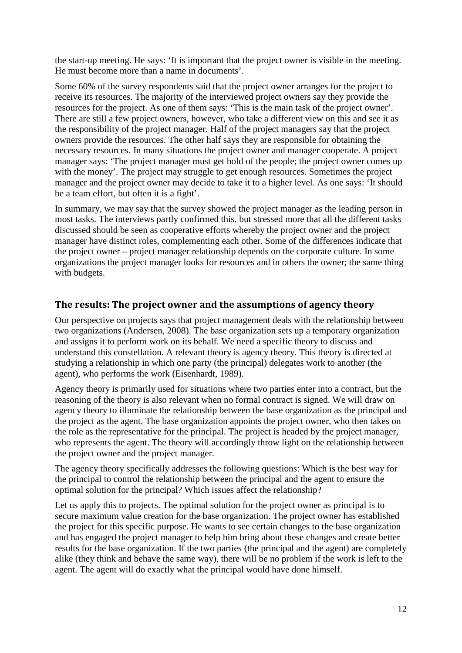the start-up meeting. He says: 'It is important that the project owner is visible in the meeting. He must become more than a name in documents'.

Some 60% of the survey respondents said that the project owner arranges for the project to receive its resources. The majority of the interviewed project owners say they provide the resources for the project. As one of them says: 'This is the main task of the project owner'. There are still a few project owners, however, who take a different view on this and see it as the responsibility of the project manager. Half of the project managers say that the project owners provide the resources. The other half says they are responsible for obtaining the necessary resources. In many situations the project owner and manager cooperate. A project manager says: 'The project manager must get hold of the people; the project owner comes up with the money'. The project may struggle to get enough resources. Sometimes the project manager and the project owner may decide to take it to a higher level. As one says: 'It should be a team effort, but often it is a fight'.

In summary, we may say that the survey showed the project manager as the leading person in most tasks. The interviews partly confirmed this, but stressed more that all the different tasks discussed should be seen as cooperative efforts whereby the project owner and the project manager have distinct roles, complementing each other. Some of the differences indicate that the project owner – project manager relationship depends on the corporate culture. In some organizations the project manager looks for resources and in others the owner; the same thing with budgets.

#### **The results: The project owner and the assumptions of agency theory**

Our perspective on projects says that project management deals with the relationship between two organizations (Andersen, 2008). The base organization sets up a temporary organization and assigns it to perform work on its behalf. We need a specific theory to discuss and understand this constellation. A relevant theory is agency theory. This theory is directed at studying a relationship in which one party (the principal) delegates work to another (the agent), who performs the work (Eisenhardt, 1989).

Agency theory is primarily used for situations where two parties enter into a contract, but the reasoning of the theory is also relevant when no formal contract is signed. We will draw on agency theory to illuminate the relationship between the base organization as the principal and the project as the agent. The base organization appoints the project owner, who then takes on the role as the representative for the principal. The project is headed by the project manager, who represents the agent. The theory will accordingly throw light on the relationship between the project owner and the project manager.

The agency theory specifically addresses the following questions: Which is the best way for the principal to control the relationship between the principal and the agent to ensure the optimal solution for the principal? Which issues affect the relationship?

Let us apply this to projects. The optimal solution for the project owner as principal is to secure maximum value creation for the base organization. The project owner has established the project for this specific purpose. He wants to see certain changes to the base organization and has engaged the project manager to help him bring about these changes and create better results for the base organization. If the two parties (the principal and the agent) are completely alike (they think and behave the same way), there will be no problem if the work is left to the agent. The agent will do exactly what the principal would have done himself.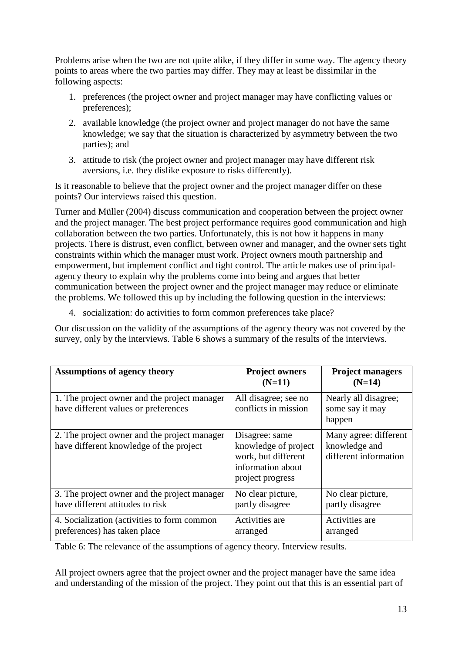Problems arise when the two are not quite alike, if they differ in some way. The agency theory points to areas where the two parties may differ. They may at least be dissimilar in the following aspects:

- 1. preferences (the project owner and project manager may have conflicting values or preferences);
- 2. available knowledge (the project owner and project manager do not have the same knowledge; we say that the situation is characterized by asymmetry between the two parties); and
- 3. attitude to risk (the project owner and project manager may have different risk aversions, i.e. they dislike exposure to risks differently).

Is it reasonable to believe that the project owner and the project manager differ on these points? Our interviews raised this question.

Turner and Müller (2004) discuss communication and cooperation between the project owner and the project manager. The best project performance requires good communication and high collaboration between the two parties. Unfortunately, this is not how it happens in many projects. There is distrust, even conflict, between owner and manager, and the owner sets tight constraints within which the manager must work. Project owners mouth partnership and empowerment, but implement conflict and tight control. The article makes use of principalagency theory to explain why the problems come into being and argues that better communication between the project owner and the project manager may reduce or eliminate the problems. We followed this up by including the following question in the interviews:

4. socialization: do activities to form common preferences take place?

Our discussion on the validity of the assumptions of the agency theory was not covered by the survey, only by the interviews. Table 6 shows a summary of the results of the interviews.

| <b>Assumptions of agency theory</b>                                                     | <b>Project owners</b><br>$(N=11)$                                                                      | <b>Project managers</b><br>$(N=14)$                             |
|-----------------------------------------------------------------------------------------|--------------------------------------------------------------------------------------------------------|-----------------------------------------------------------------|
| 1. The project owner and the project manager<br>have different values or preferences    | All disagree; see no<br>conflicts in mission                                                           | Nearly all disagree;<br>some say it may<br>happen               |
| 2. The project owner and the project manager<br>have different knowledge of the project | Disagree: same<br>knowledge of project<br>work, but different<br>information about<br>project progress | Many agree: different<br>knowledge and<br>different information |
| 3. The project owner and the project manager<br>have different attitudes to risk        | No clear picture,<br>partly disagree                                                                   | No clear picture,<br>partly disagree                            |
| 4. Socialization (activities to form common<br>preferences) has taken place             | Activities are<br>arranged                                                                             | Activities are<br>arranged                                      |

Table 6: The relevance of the assumptions of agency theory. Interview results.

All project owners agree that the project owner and the project manager have the same idea and understanding of the mission of the project. They point out that this is an essential part of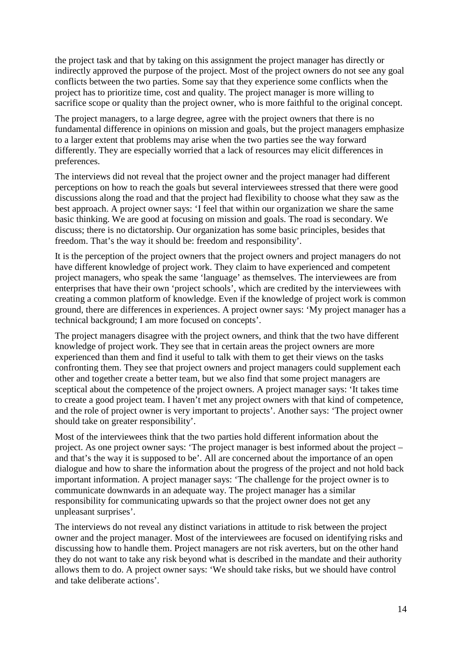the project task and that by taking on this assignment the project manager has directly or indirectly approved the purpose of the project. Most of the project owners do not see any goal conflicts between the two parties. Some say that they experience some conflicts when the project has to prioritize time, cost and quality. The project manager is more willing to sacrifice scope or quality than the project owner, who is more faithful to the original concept.

The project managers, to a large degree, agree with the project owners that there is no fundamental difference in opinions on mission and goals, but the project managers emphasize to a larger extent that problems may arise when the two parties see the way forward differently. They are especially worried that a lack of resources may elicit differences in preferences.

The interviews did not reveal that the project owner and the project manager had different perceptions on how to reach the goals but several interviewees stressed that there were good discussions along the road and that the project had flexibility to choose what they saw as the best approach. A project owner says: 'I feel that within our organization we share the same basic thinking. We are good at focusing on mission and goals. The road is secondary. We discuss; there is no dictatorship. Our organization has some basic principles, besides that freedom. That's the way it should be: freedom and responsibility'.

It is the perception of the project owners that the project owners and project managers do not have different knowledge of project work. They claim to have experienced and competent project managers, who speak the same 'language' as themselves. The interviewees are from enterprises that have their own 'project schools', which are credited by the interviewees with creating a common platform of knowledge. Even if the knowledge of project work is common ground, there are differences in experiences. A project owner says: 'My project manager has a technical background; I am more focused on concepts'.

The project managers disagree with the project owners, and think that the two have different knowledge of project work. They see that in certain areas the project owners are more experienced than them and find it useful to talk with them to get their views on the tasks confronting them. They see that project owners and project managers could supplement each other and together create a better team, but we also find that some project managers are sceptical about the competence of the project owners. A project manager says: 'It takes time to create a good project team. I haven't met any project owners with that kind of competence, and the role of project owner is very important to projects'. Another says: 'The project owner should take on greater responsibility'.

Most of the interviewees think that the two parties hold different information about the project. As one project owner says: 'The project manager is best informed about the project – and that's the way it is supposed to be'. All are concerned about the importance of an open dialogue and how to share the information about the progress of the project and not hold back important information. A project manager says: 'The challenge for the project owner is to communicate downwards in an adequate way. The project manager has a similar responsibility for communicating upwards so that the project owner does not get any unpleasant surprises'.

The interviews do not reveal any distinct variations in attitude to risk between the project owner and the project manager. Most of the interviewees are focused on identifying risks and discussing how to handle them. Project managers are not risk averters, but on the other hand they do not want to take any risk beyond what is described in the mandate and their authority allows them to do. A project owner says: 'We should take risks, but we should have control and take deliberate actions'.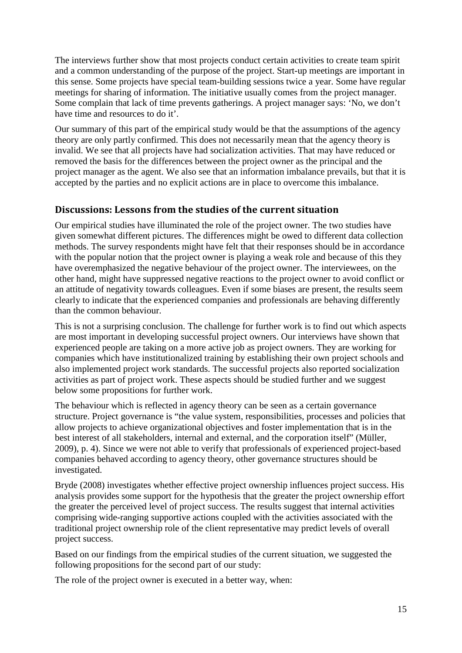The interviews further show that most projects conduct certain activities to create team spirit and a common understanding of the purpose of the project. Start-up meetings are important in this sense. Some projects have special team-building sessions twice a year. Some have regular meetings for sharing of information. The initiative usually comes from the project manager. Some complain that lack of time prevents gatherings. A project manager says: 'No, we don't have time and resources to do it'.

Our summary of this part of the empirical study would be that the assumptions of the agency theory are only partly confirmed. This does not necessarily mean that the agency theory is invalid. We see that all projects have had socialization activities. That may have reduced or removed the basis for the differences between the project owner as the principal and the project manager as the agent. We also see that an information imbalance prevails, but that it is accepted by the parties and no explicit actions are in place to overcome this imbalance.

#### **Discussions: Lessons from the studies of the current situation**

Our empirical studies have illuminated the role of the project owner. The two studies have given somewhat different pictures. The differences might be owed to different data collection methods. The survey respondents might have felt that their responses should be in accordance with the popular notion that the project owner is playing a weak role and because of this they have overemphasized the negative behaviour of the project owner. The interviewees, on the other hand, might have suppressed negative reactions to the project owner to avoid conflict or an attitude of negativity towards colleagues. Even if some biases are present, the results seem clearly to indicate that the experienced companies and professionals are behaving differently than the common behaviour.

This is not a surprising conclusion. The challenge for further work is to find out which aspects are most important in developing successful project owners. Our interviews have shown that experienced people are taking on a more active job as project owners. They are working for companies which have institutionalized training by establishing their own project schools and also implemented project work standards. The successful projects also reported socialization activities as part of project work. These aspects should be studied further and we suggest below some propositions for further work.

The behaviour which is reflected in agency theory can be seen as a certain governance structure. Project governance is "the value system, responsibilities, processes and policies that allow projects to achieve organizational objectives and foster implementation that is in the best interest of all stakeholders, internal and external, and the corporation itself" (Müller, 2009), p. 4). Since we were not able to verify that professionals of experienced project-based companies behaved according to agency theory, other governance structures should be investigated.

Bryde (2008) investigates whether effective project ownership influences project success. His analysis provides some support for the hypothesis that the greater the project ownership effort the greater the perceived level of project success. The results suggest that internal activities comprising wide-ranging supportive actions coupled with the activities associated with the traditional project ownership role of the client representative may predict levels of overall project success.

Based on our findings from the empirical studies of the current situation, we suggested the following propositions for the second part of our study:

The role of the project owner is executed in a better way, when: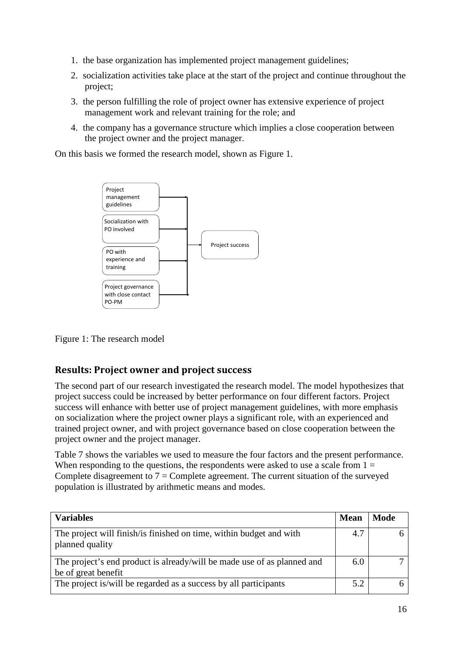- 1. the base organization has implemented project management guidelines;
- 2. socialization activities take place at the start of the project and continue throughout the project;
- 3. the person fulfilling the role of project owner has extensive experience of project management work and relevant training for the role; and
- 4. the company has a governance structure which implies a close cooperation between the project owner and the project manager.

On this basis we formed the research model, shown as Figure 1.



Figure 1: The research model

#### **Results: Project owner and project success**

The second part of our research investigated the research model. The model hypothesizes that project success could be increased by better performance on four different factors. Project success will enhance with better use of project management guidelines, with more emphasis on socialization where the project owner plays a significant role, with an experienced and trained project owner, and with project governance based on close cooperation between the project owner and the project manager.

Table 7 shows the variables we used to measure the four factors and the present performance. When responding to the questions, the respondents were asked to use a scale from  $1 =$ Complete disagreement to  $7 =$  Complete agreement. The current situation of the surveyed population is illustrated by arithmetic means and modes.

| <b>Variables</b>                                                                               | <b>Mean</b> | Mode |
|------------------------------------------------------------------------------------------------|-------------|------|
| The project will finish/is finished on time, within budget and with<br>planned quality         | 4.7         |      |
| The project's end product is already/will be made use of as planned and<br>be of great benefit | 6.0         |      |
| The project is/will be regarded as a success by all participants                               | 5.2         |      |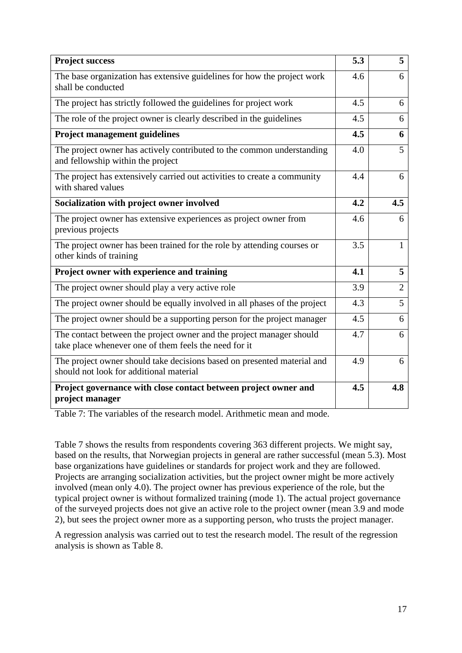| <b>Project success</b>                                                                                                        | 5.3 | 5              |
|-------------------------------------------------------------------------------------------------------------------------------|-----|----------------|
| The base organization has extensive guidelines for how the project work<br>shall be conducted                                 | 4.6 | 6              |
| The project has strictly followed the guidelines for project work                                                             | 4.5 | 6              |
| The role of the project owner is clearly described in the guidelines                                                          | 4.5 | 6              |
| <b>Project management guidelines</b>                                                                                          | 4.5 | 6              |
| The project owner has actively contributed to the common understanding<br>and fellowship within the project                   | 4.0 | 5              |
| The project has extensively carried out activities to create a community<br>with shared values                                | 4.4 | 6              |
| Socialization with project owner involved                                                                                     | 4.2 | 4.5            |
| The project owner has extensive experiences as project owner from<br>previous projects                                        | 4.6 | 6              |
| The project owner has been trained for the role by attending courses or<br>other kinds of training                            | 3.5 | $\mathbf{1}$   |
| Project owner with experience and training                                                                                    | 4.1 | 5              |
| The project owner should play a very active role                                                                              | 3.9 | $\overline{2}$ |
| The project owner should be equally involved in all phases of the project                                                     | 4.3 | 5              |
| The project owner should be a supporting person for the project manager                                                       | 4.5 | 6              |
| The contact between the project owner and the project manager should<br>take place whenever one of them feels the need for it | 4.7 | 6              |
| The project owner should take decisions based on presented material and<br>should not look for additional material            | 4.9 | 6              |
| Project governance with close contact between project owner and<br>project manager                                            | 4.5 | 4.8            |

Table 7: The variables of the research model. Arithmetic mean and mode.

Table 7 shows the results from respondents covering 363 different projects. We might say, based on the results, that Norwegian projects in general are rather successful (mean 5.3). Most base organizations have guidelines or standards for project work and they are followed. Projects are arranging socialization activities, but the project owner might be more actively involved (mean only 4.0). The project owner has previous experience of the role, but the typical project owner is without formalized training (mode 1). The actual project governance of the surveyed projects does not give an active role to the project owner (mean 3.9 and mode 2), but sees the project owner more as a supporting person, who trusts the project manager.

A regression analysis was carried out to test the research model. The result of the regression analysis is shown as Table 8.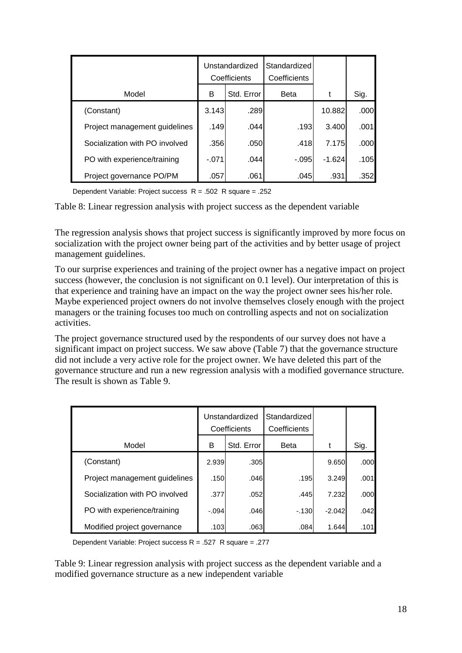|                                | Unstandardized<br>Coefficients |            | Standardized<br>Coefficients |          |      |
|--------------------------------|--------------------------------|------------|------------------------------|----------|------|
| Model                          | B                              | Std. Error | <b>Beta</b>                  | t        | Sig. |
| (Constant)                     | 3.143                          | .289       |                              | 10.882   | .000 |
| Project management guidelines  | .149                           | .044       | .193                         | 3.400    | .001 |
| Socialization with PO involved | .3561                          | .050       | .418                         | 7.175    | .000 |
| PO with experience/training    | $-.071$                        | .044       | $-.095$                      | $-1.624$ | .105 |
| Project governance PO/PM       | .057                           | .061       | .045                         | .931     | .352 |

Dependent Variable: Project success R = .502 R square = .252

Table 8: Linear regression analysis with project success as the dependent variable

The regression analysis shows that project success is significantly improved by more focus on socialization with the project owner being part of the activities and by better usage of project management guidelines.

To our surprise experiences and training of the project owner has a negative impact on project success (however, the conclusion is not significant on 0.1 level). Our interpretation of this is that experience and training have an impact on the way the project owner sees his/her role. Maybe experienced project owners do not involve themselves closely enough with the project managers or the training focuses too much on controlling aspects and not on socialization activities.

The project governance structured used by the respondents of our survey does not have a significant impact on project success. We saw above (Table 7) that the governance structure did not include a very active role for the project owner. We have deleted this part of the governance structure and run a new regression analysis with a modified governance structure. The result is shown as Table 9.

|                                | Unstandardized<br>Coefficients |            | Standardized<br>Coefficients |          |      |
|--------------------------------|--------------------------------|------------|------------------------------|----------|------|
| Model                          | B                              | Std. Error | <b>Beta</b>                  | t        | Sig. |
| (Constant)                     | 2.939                          | .305       |                              | 9.650    | .000 |
| Project management guidelines  | .150                           | .046       | .195                         | 3.249    | .001 |
| Socialization with PO involved | .377                           | .052       | .445                         | 7.232    | .000 |
| PO with experience/training    | $-.094$                        | .046       | $-130$                       | $-2.042$ | .042 |
| Modified project governance    | .103                           | .063       | .084                         | 1.644    | .101 |

Dependent Variable: Project success  $R = .527$  R square = .277

Table 9: Linear regression analysis with project success as the dependent variable and a modified governance structure as a new independent variable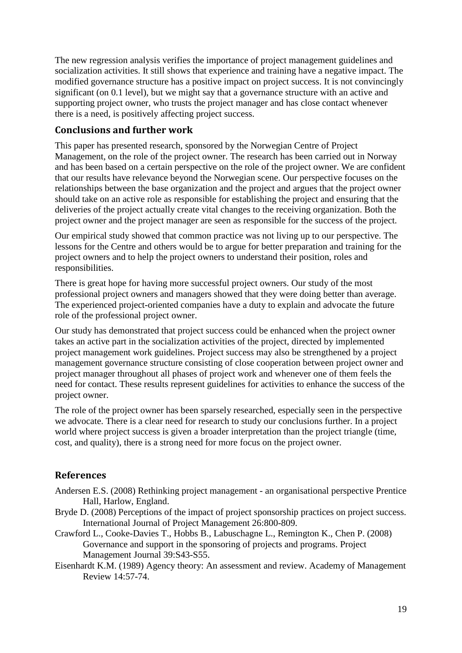The new regression analysis verifies the importance of project management guidelines and socialization activities. It still shows that experience and training have a negative impact. The modified governance structure has a positive impact on project success. It is not convincingly significant (on 0.1 level), but we might say that a governance structure with an active and supporting project owner, who trusts the project manager and has close contact whenever there is a need, is positively affecting project success.

#### **Conclusions and further work**

This paper has presented research, sponsored by the Norwegian Centre of Project Management, on the role of the project owner. The research has been carried out in Norway and has been based on a certain perspective on the role of the project owner. We are confident that our results have relevance beyond the Norwegian scene. Our perspective focuses on the relationships between the base organization and the project and argues that the project owner should take on an active role as responsible for establishing the project and ensuring that the deliveries of the project actually create vital changes to the receiving organization. Both the project owner and the project manager are seen as responsible for the success of the project.

Our empirical study showed that common practice was not living up to our perspective. The lessons for the Centre and others would be to argue for better preparation and training for the project owners and to help the project owners to understand their position, roles and responsibilities.

There is great hope for having more successful project owners. Our study of the most professional project owners and managers showed that they were doing better than average. The experienced project-oriented companies have a duty to explain and advocate the future role of the professional project owner.

Our study has demonstrated that project success could be enhanced when the project owner takes an active part in the socialization activities of the project, directed by implemented project management work guidelines. Project success may also be strengthened by a project management governance structure consisting of close cooperation between project owner and project manager throughout all phases of project work and whenever one of them feels the need for contact. These results represent guidelines for activities to enhance the success of the project owner.

The role of the project owner has been sparsely researched, especially seen in the perspective we advocate. There is a clear need for research to study our conclusions further. In a project world where project success is given a broader interpretation than the project triangle (time, cost, and quality), there is a strong need for more focus on the project owner.

### **References**

- Andersen E.S. (2008) Rethinking project management an organisational perspective Prentice Hall, Harlow, England.
- Bryde D. (2008) Perceptions of the impact of project sponsorship practices on project success. International Journal of Project Management 26:800-809.
- Crawford L., Cooke-Davies T., Hobbs B., Labuschagne L., Remington K., Chen P. (2008) Governance and support in the sponsoring of projects and programs. Project Management Journal 39:S43-S55.
- Eisenhardt K.M. (1989) Agency theory: An assessment and review. Academy of Management Review 14:57-74.